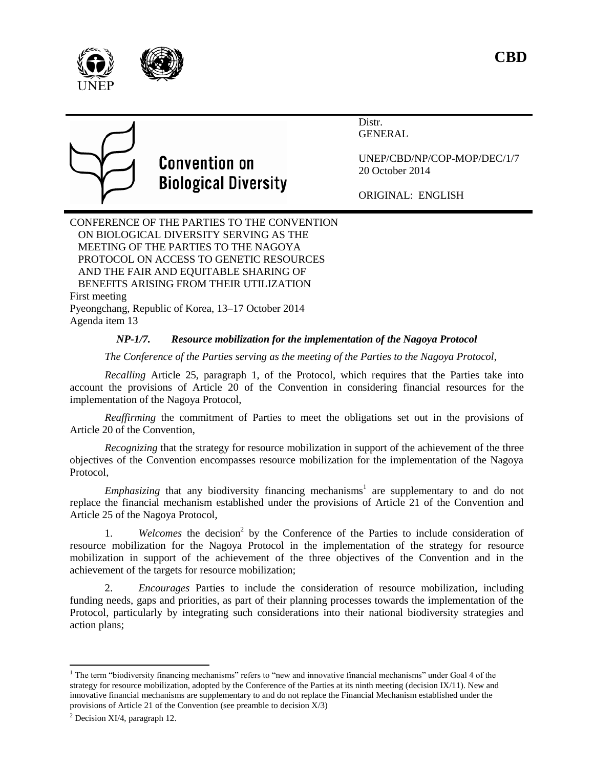



Distr. GENERAL



## **Convention on Biological Diversity**

UNEP/CBD/NP/COP-MOP/DEC/1/7 20 October 2014

ORIGINAL: ENGLISH

CONFERENCE OF THE PARTIES TO THE CONVENTION ON BIOLOGICAL DIVERSITY SERVING AS THE MEETING OF THE PARTIES TO THE NAGOYA PROTOCOL ON ACCESS TO GENETIC RESOURCES AND THE FAIR AND EQUITABLE SHARING OF BENEFITS ARISING FROM THEIR UTILIZATION First meeting Pyeongchang, Republic of Korea, 13–17 October 2014 Agenda item 13

## *NP-1/7. Resource mobilization for the implementation of the Nagoya Protocol*

*The Conference of the Parties serving as the meeting of the Parties to the Nagoya Protocol*,

*Recalling* Article 25, paragraph 1, of the Protocol, which requires that the Parties take into account the provisions of Article 20 of the Convention in considering financial resources for the implementation of the Nagoya Protocol,

*Reaffirming* the commitment of Parties to meet the obligations set out in the provisions of Article 20 of the Convention,

*Recognizing* that the strategy for resource mobilization in support of the achievement of the three objectives of the Convention encompasses resource mobilization for the implementation of the Nagoya Protocol,

*Emphasizing* that any biodiversity financing mechanisms<sup>1</sup> are supplementary to and do not replace the financial mechanism established under the provisions of Article 21 of the Convention and Article 25 of the Nagoya Protocol,

1. *Welcomes* the decision 2 by the Conference of the Parties to include consideration of resource mobilization for the Nagoya Protocol in the implementation of the strategy for resource mobilization in support of the achievement of the three objectives of the Convention and in the achievement of the targets for resource mobilization;

2. *Encourages* Parties to include the consideration of resource mobilization, including funding needs, gaps and priorities, as part of their planning processes towards the implementation of the Protocol, particularly by integrating such considerations into their national biodiversity strategies and action plans;

l

 $1$  The term "biodiversity financing mechanisms" refers to "new and innovative financial mechanisms" under Goal 4 of the strategy for resource mobilization, adopted by the Conference of the Parties at its ninth meeting (decision IX/11). New and innovative financial mechanisms are supplementary to and do not replace the Financial Mechanism established under the provisions of Article 21 of the Convention (see preamble to decision  $X/3$ )

 $<sup>2</sup>$  Decision XI/4, paragraph 12.</sup>